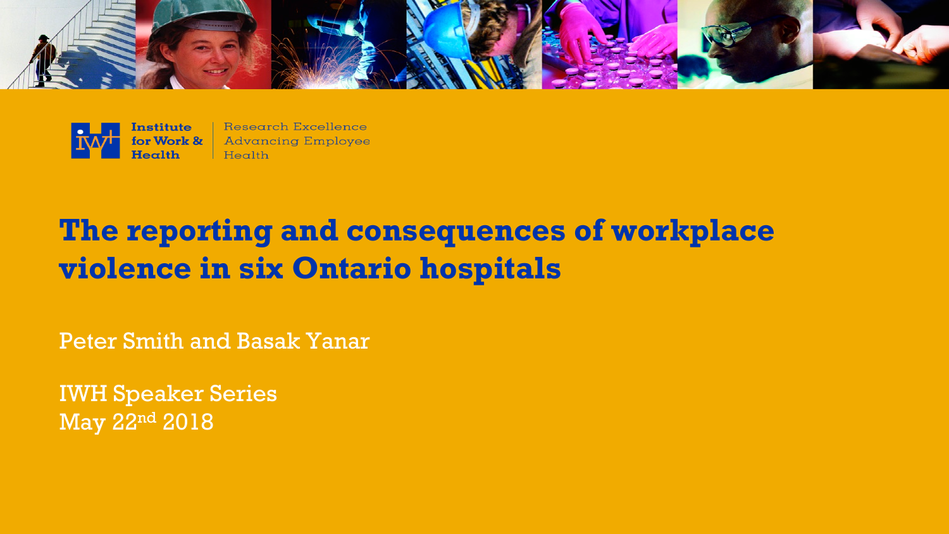



Research Excellence **Advancing Employee** Health

# **The reporting and consequences of workplace violence in six Ontario hospitals**

Peter Smith and Basak Yanar

IWH Speaker Series May 22nd 2018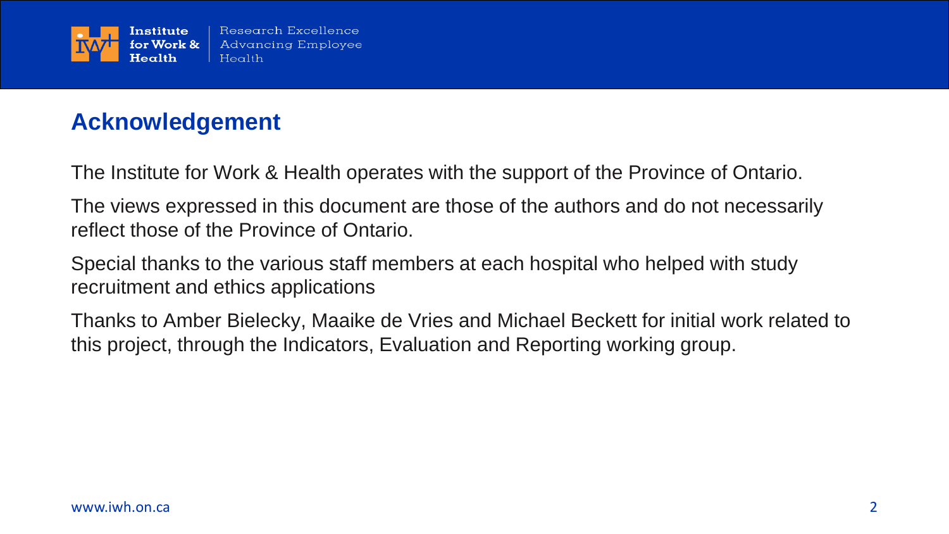

## **Acknowledgement**

The Institute for Work & Health operates with the support of the Province of Ontario.

The views expressed in this document are those of the authors and do not necessarily reflect those of the Province of Ontario.

Special thanks to the various staff members at each hospital who helped with study recruitment and ethics applications

Thanks to Amber Bielecky, Maaike de Vries and Michael Beckett for initial work related to this project, through the Indicators, Evaluation and Reporting working group.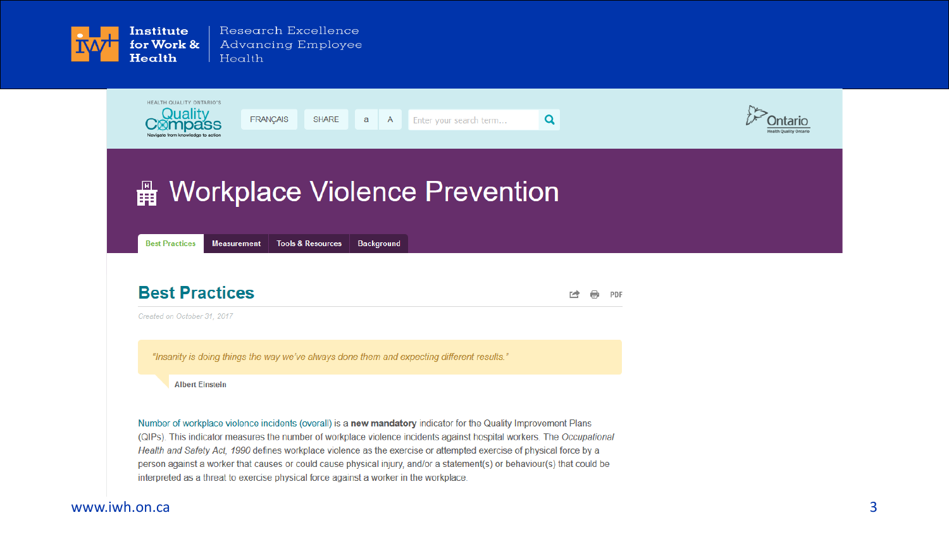



Created on October 31, 2017

"Insanity is doing things the way we've always done them and expecting different results."

**Albert Einstein** 

Number of workplace violence incidents (overall) is a new mandatory indicator for the Quality Improvement Plans (QIPs). This indicator measures the number of workplace violence incidents against hospital workers. The Occupational Health and Safety Act, 1990 defines workplace violence as the exercise or attempted exercise of physical force by a person against a worker that causes or could cause physical injury, and/or a statement(s) or behaviour(s) that could be interpreted as a threat to exercise physical force against a worker in the workplace.

#### www.iwh.on.ca 3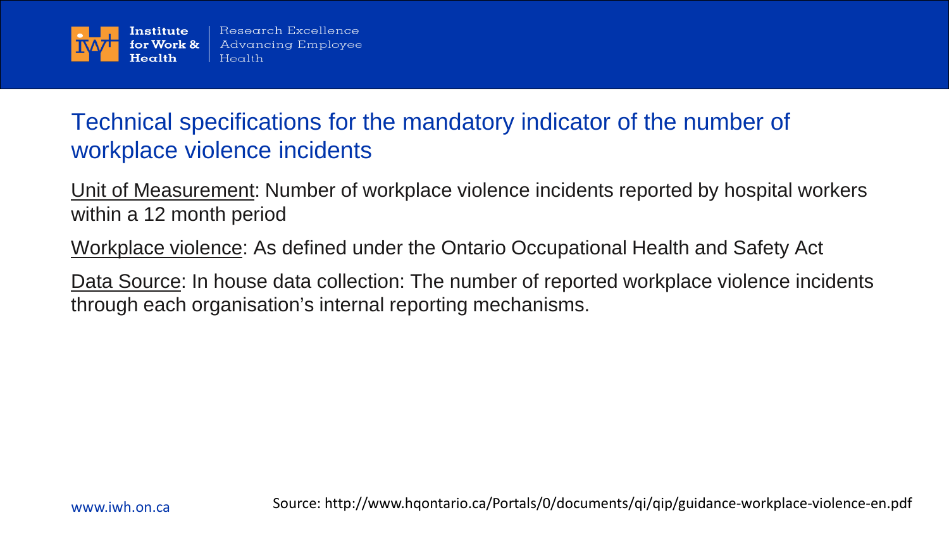

## Technical specifications for the mandatory indicator of the number of workplace violence incidents

Unit of Measurement: Number of workplace violence incidents reported by hospital workers within a 12 month period

Workplace violence: As defined under the Ontario Occupational Health and Safety Act

Data Source: In house data collection: The number of reported workplace violence incidents through each organisation's internal reporting mechanisms.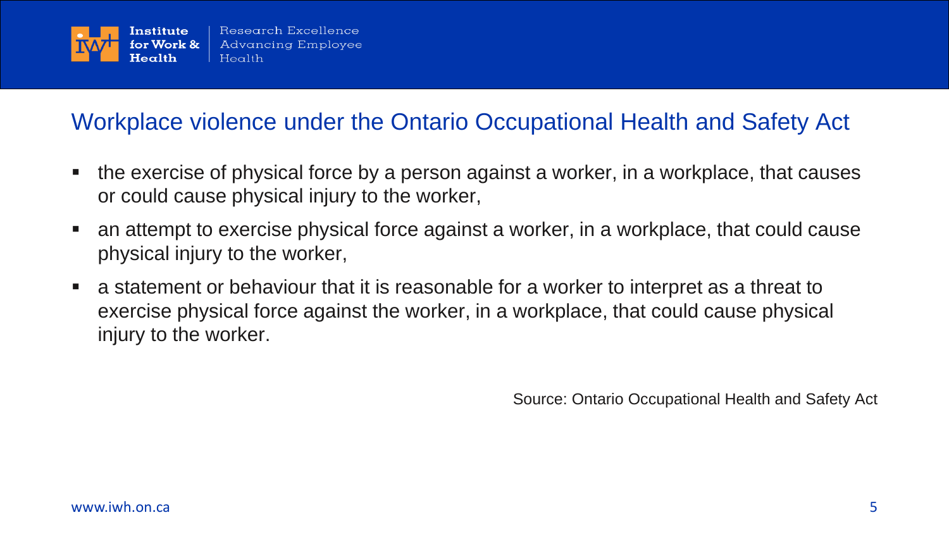

## Workplace violence under the Ontario Occupational Health and Safety Act

- the exercise of physical force by a person against a worker, in a workplace, that causes or could cause physical injury to the worker,
- an attempt to exercise physical force against a worker, in a workplace, that could cause physical injury to the worker,
- a statement or behaviour that it is reasonable for a worker to interpret as a threat to exercise physical force against the worker, in a workplace, that could cause physical injury to the worker.

Source: Ontario Occupational Health and Safety Act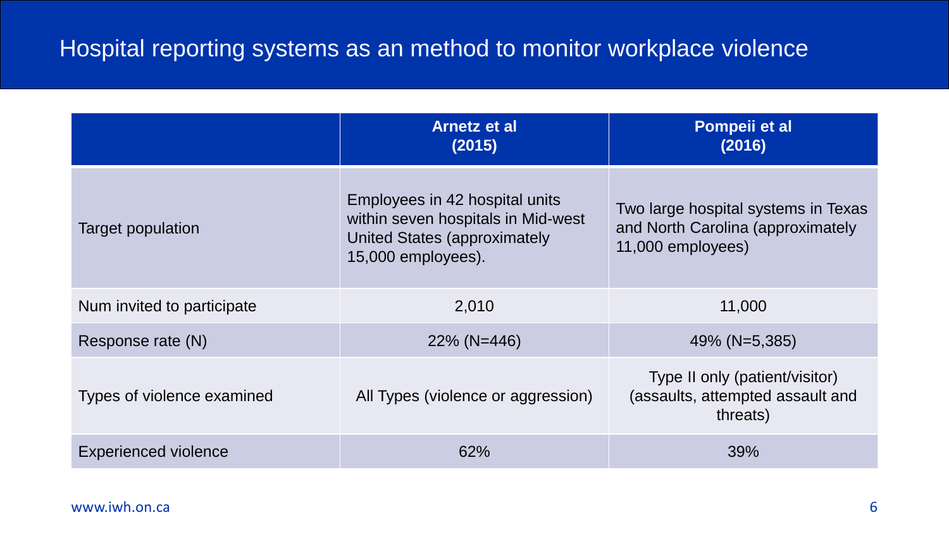## Hospital reporting systems as an method to monitor workplace violence

|                             | <b>Arnetz et al</b><br>(2015)                                                                                                     | Pompeii et al<br>(2016)                                                                       |
|-----------------------------|-----------------------------------------------------------------------------------------------------------------------------------|-----------------------------------------------------------------------------------------------|
| Target population           | Employees in 42 hospital units<br>within seven hospitals in Mid-west<br><b>United States (approximately</b><br>15,000 employees). | Two large hospital systems in Texas<br>and North Carolina (approximately<br>11,000 employees) |
| Num invited to participate  | 2,010                                                                                                                             | 11,000                                                                                        |
| Response rate (N)           | $22\%$ (N=446)                                                                                                                    | 49% (N=5,385)                                                                                 |
| Types of violence examined  | All Types (violence or aggression)                                                                                                | Type II only (patient/visitor)<br>(assaults, attempted assault and<br>threats)                |
| <b>Experienced violence</b> | 62%                                                                                                                               | 39%                                                                                           |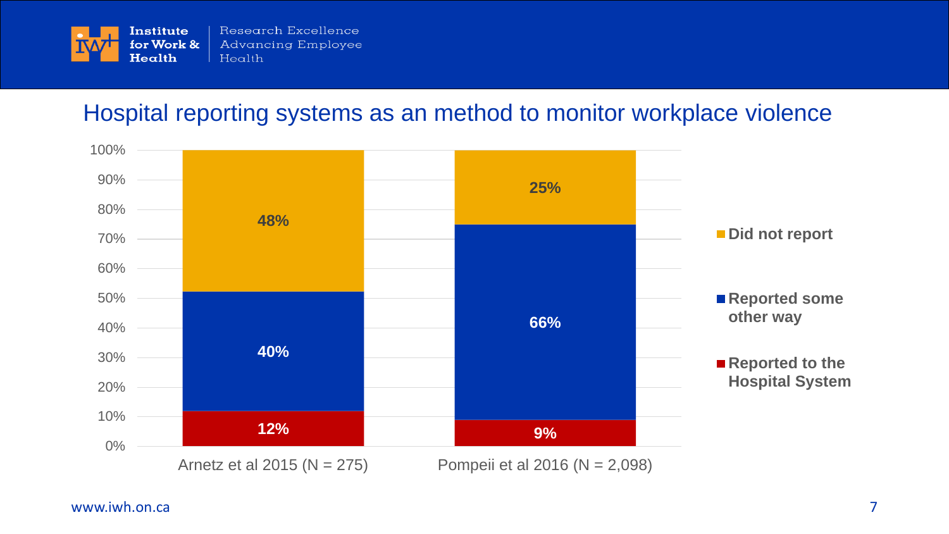

#### Hospital reporting systems as an method to monitor workplace violence

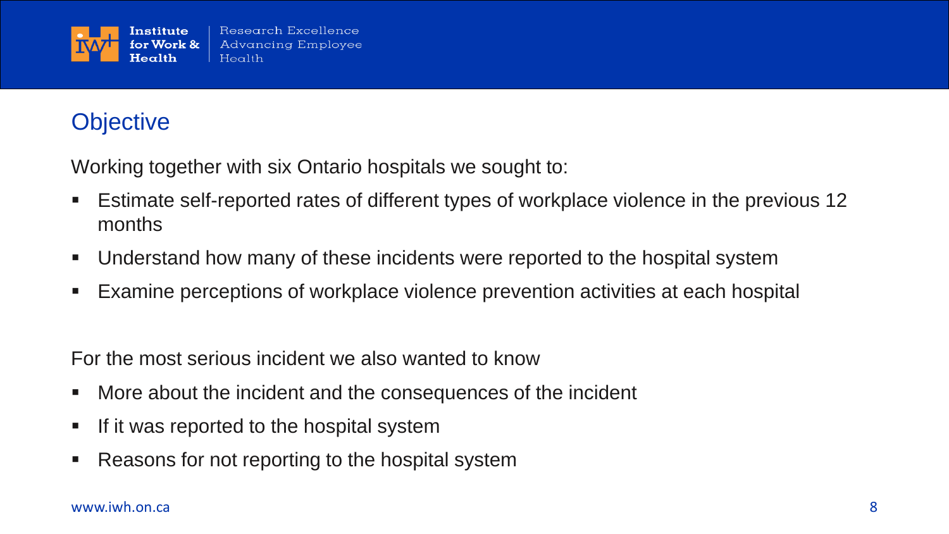

## **Objective**

Working together with six Ontario hospitals we sought to:

- Estimate self-reported rates of different types of workplace violence in the previous 12 months
- Understand how many of these incidents were reported to the hospital system
- Examine perceptions of workplace violence prevention activities at each hospital

For the most serious incident we also wanted to know

- More about the incident and the consequences of the incident
- If it was reported to the hospital system
- Reasons for not reporting to the hospital system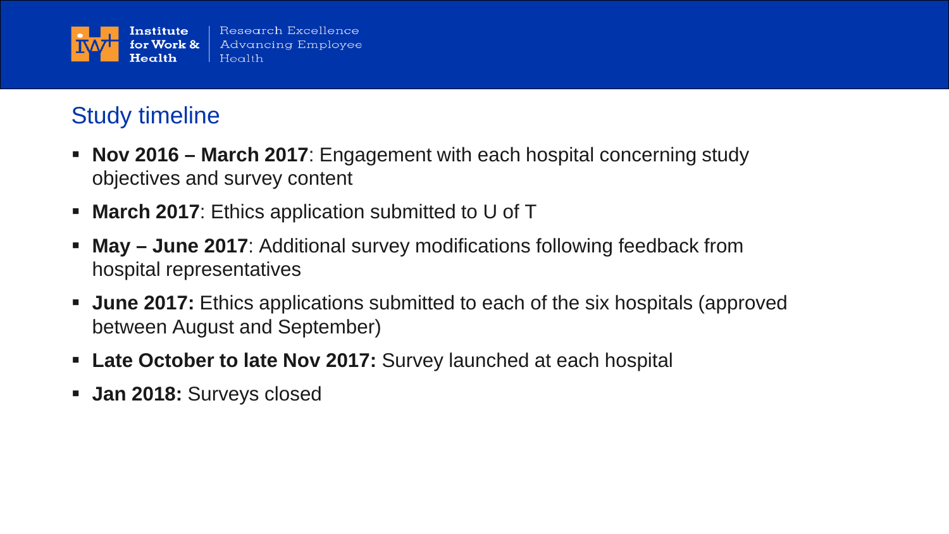

## Study timeline

- **Nov 2016 – March 2017**: Engagement with each hospital concerning study objectives and survey content
- **March 2017:** Ethics application submitted to U of T
- **May – June 2017**: Additional survey modifications following feedback from hospital representatives
- **June 2017:** Ethics applications submitted to each of the six hospitals (approved between August and September)
- **Late October to late Nov 2017:** Survey launched at each hospital
- **Jan 2018:** Surveys closed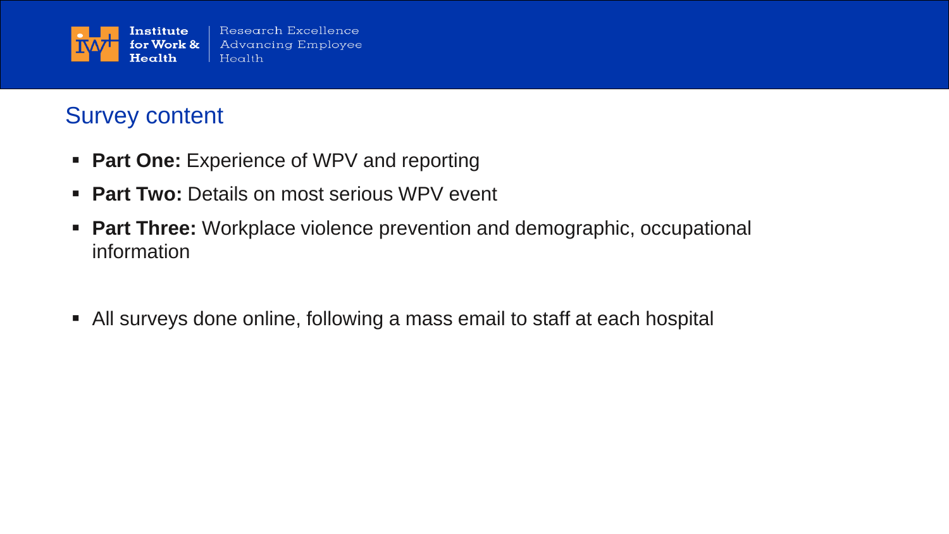

## Survey content

- **Part One: Experience of WPV and reporting**
- **Part Two: Details on most serious WPV event**
- **Part Three:** Workplace violence prevention and demographic, occupational information
- All surveys done online, following a mass email to staff at each hospital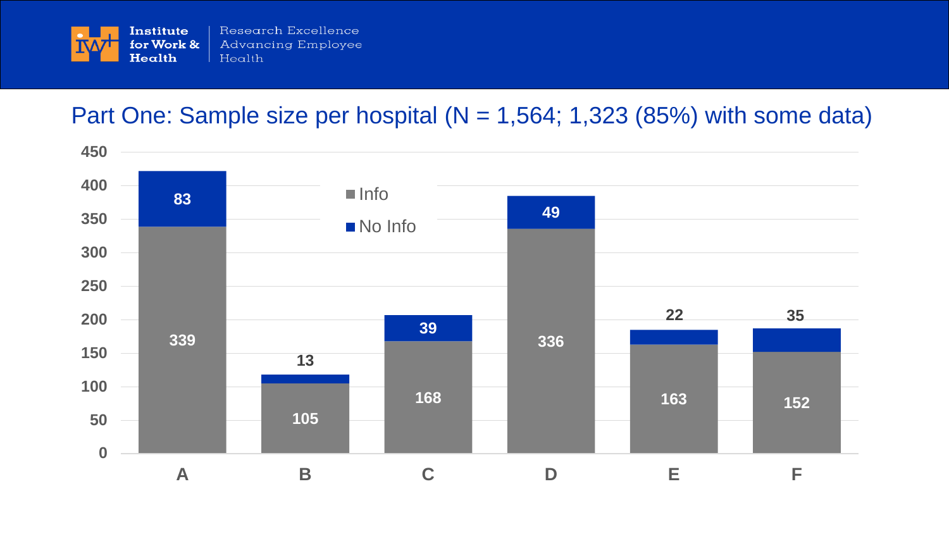

## Part One: Sample size per hospital ( $N = 1,564$ ; 1,323 (85%) with some data)

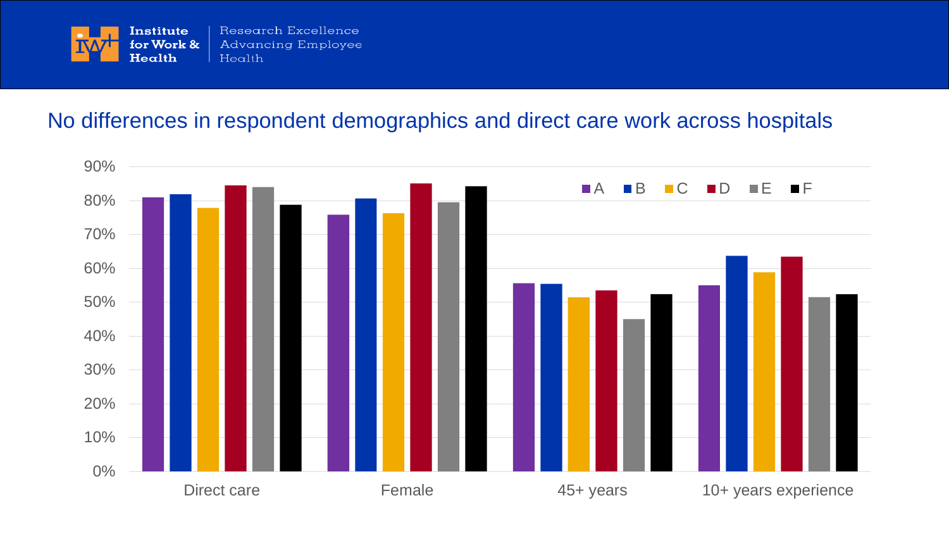

#### No differences in respondent demographics and direct care work across hospitals

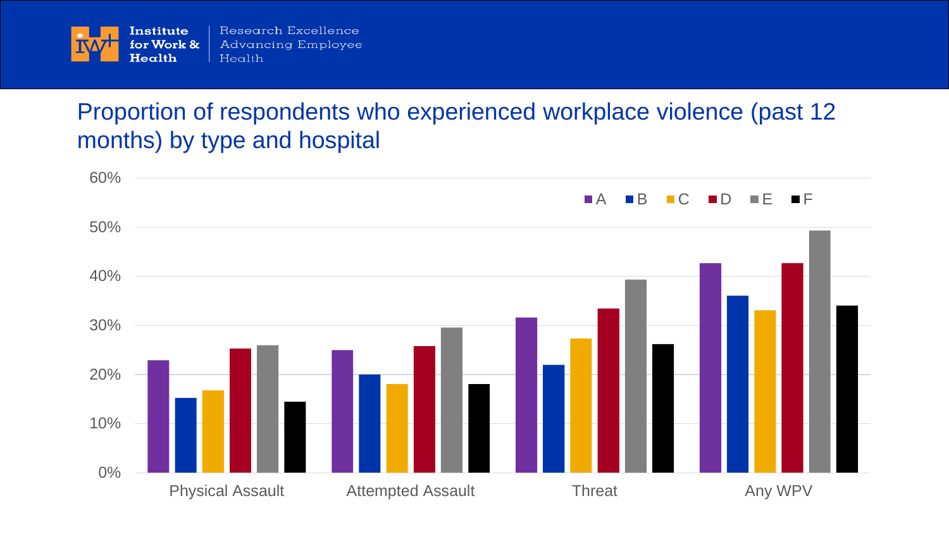

## Proportion of respondents who experienced workplace violence (past 12 months) by type and hospital

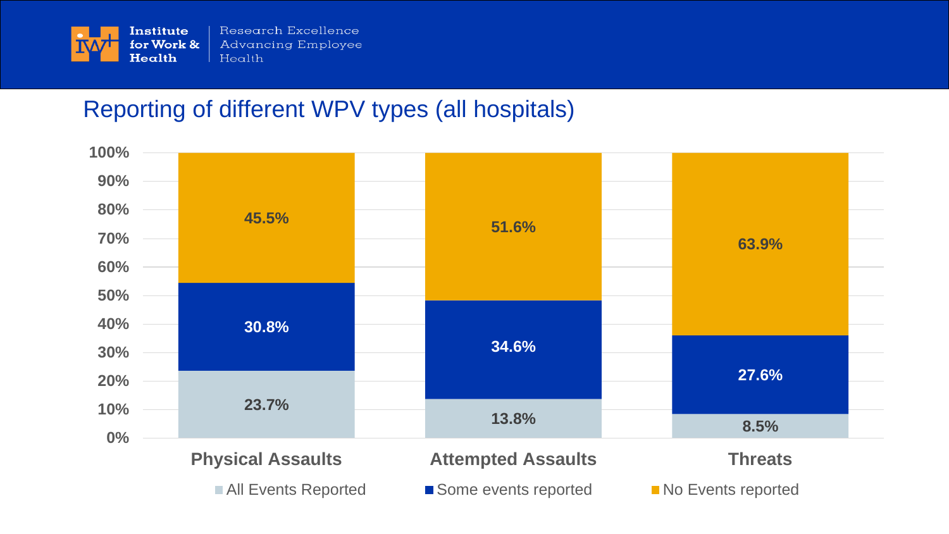

## Reporting of different WPV types (all hospitals)

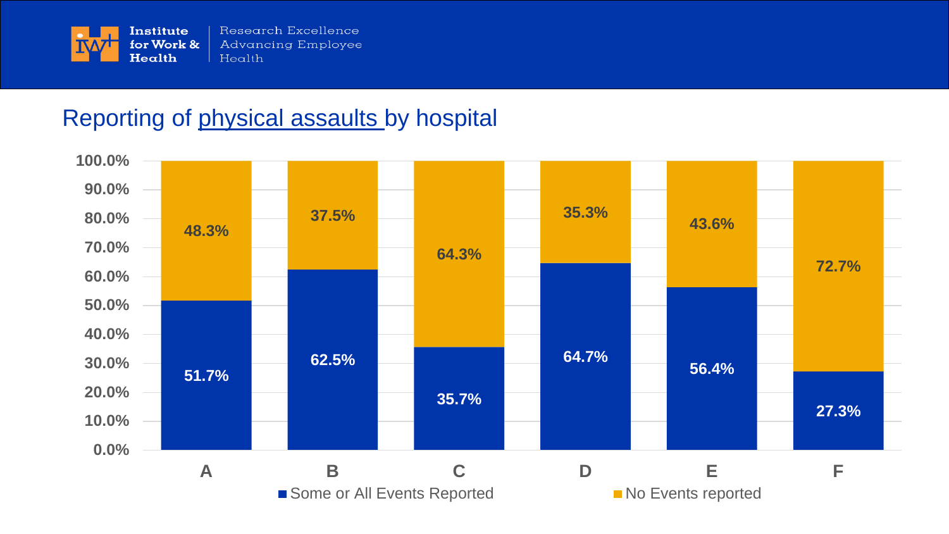

## Reporting of physical assaults by hospital

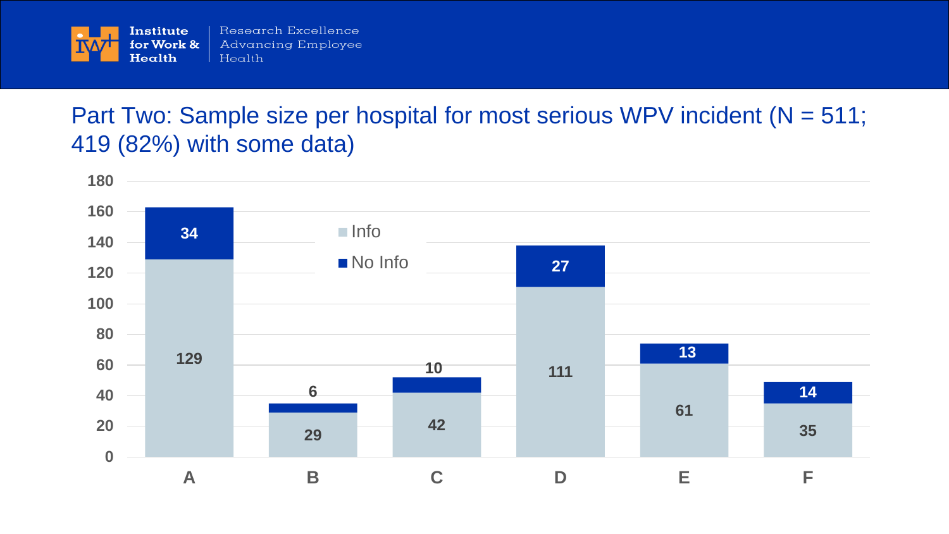

## Part Two: Sample size per hospital for most serious WPV incident (N = 511; 419 (82%) with some data)

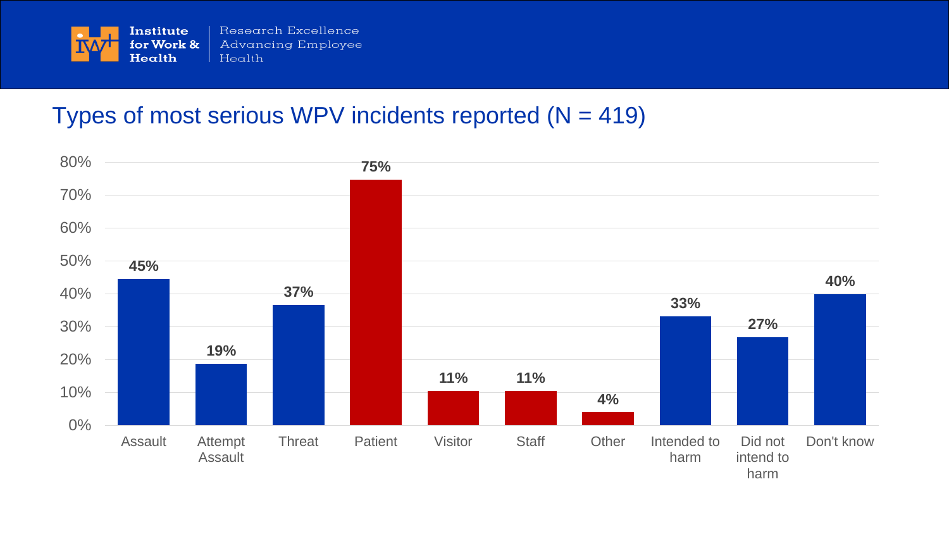

## Types of most serious WPV incidents reported  $(N = 419)$

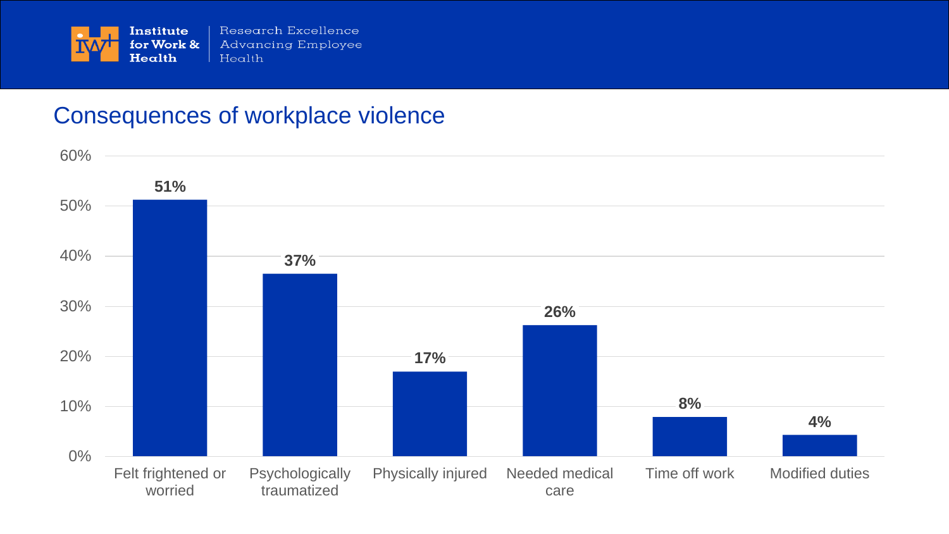

#### Consequences of workplace violence

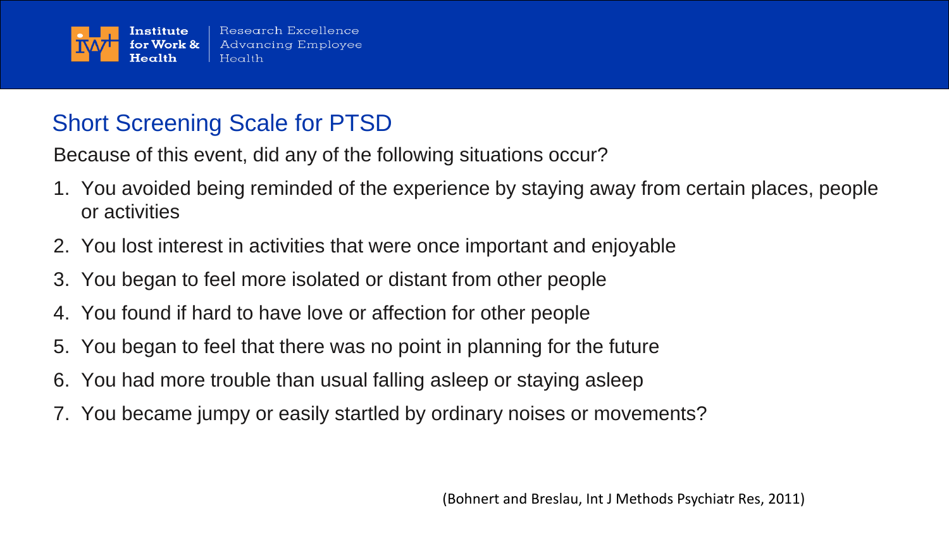

## Short Screening Scale for PTSD

Because of this event, did any of the following situations occur?

- 1. You avoided being reminded of the experience by staying away from certain places, people or activities
- 2. You lost interest in activities that were once important and enjoyable
- 3. You began to feel more isolated or distant from other people
- 4. You found if hard to have love or affection for other people
- 5. You began to feel that there was no point in planning for the future
- 6. You had more trouble than usual falling asleep or staying asleep
- 7. You became jumpy or easily startled by ordinary noises or movements?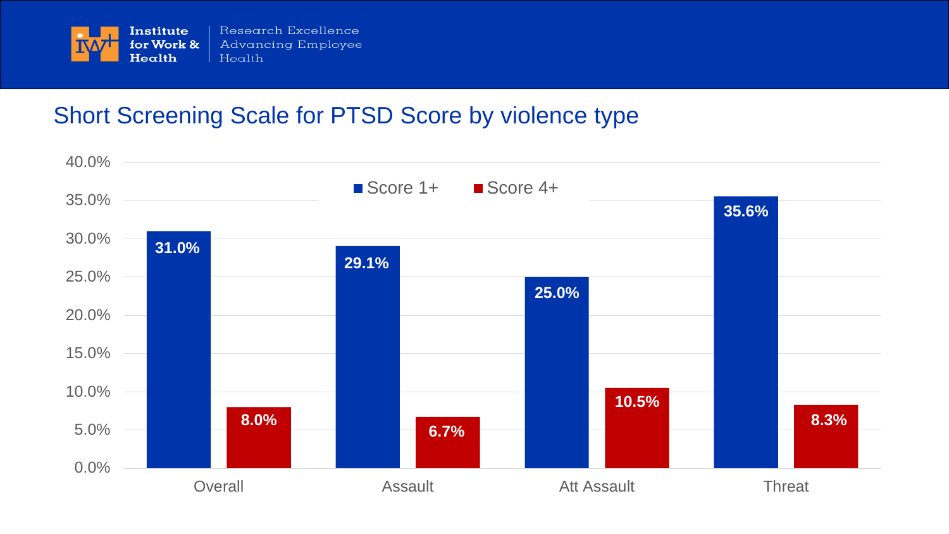

## Short Screening Scale for PTSD Score by violence type

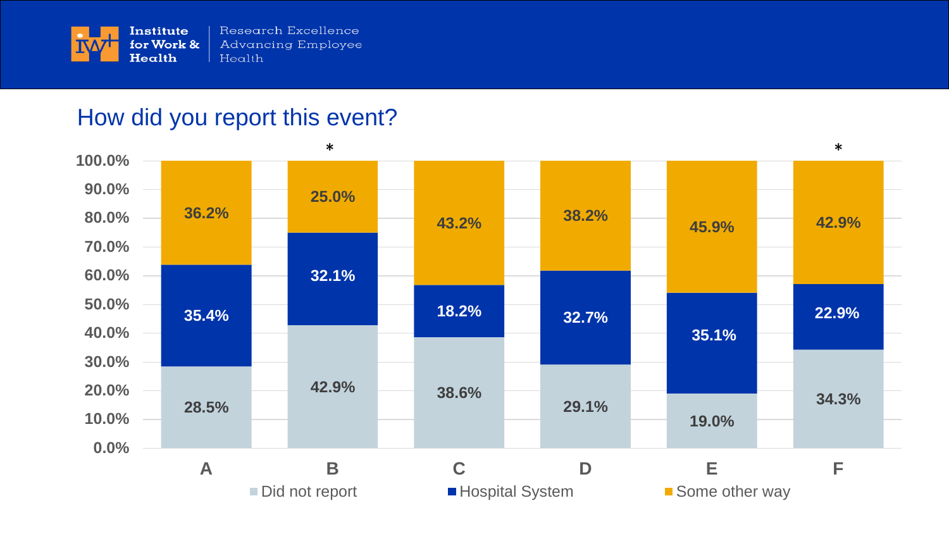

#### How did you report this event?

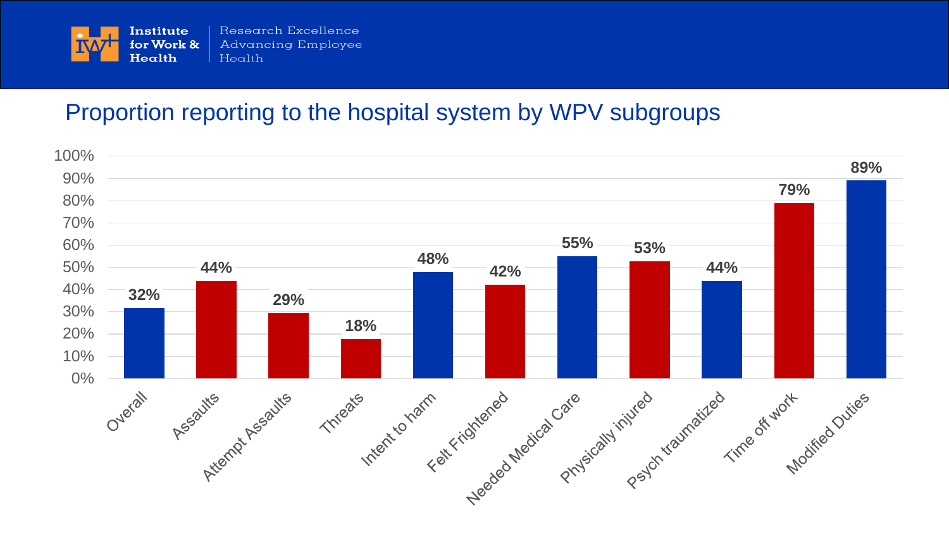

#### Proportion reporting to the hospital system by WPV subgroups

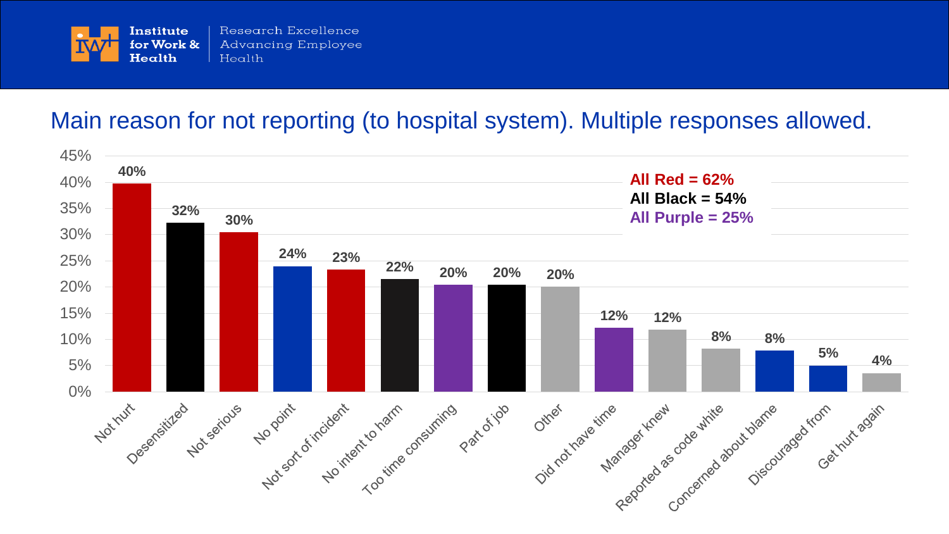

#### Main reason for not reporting (to hospital system). Multiple responses allowed.

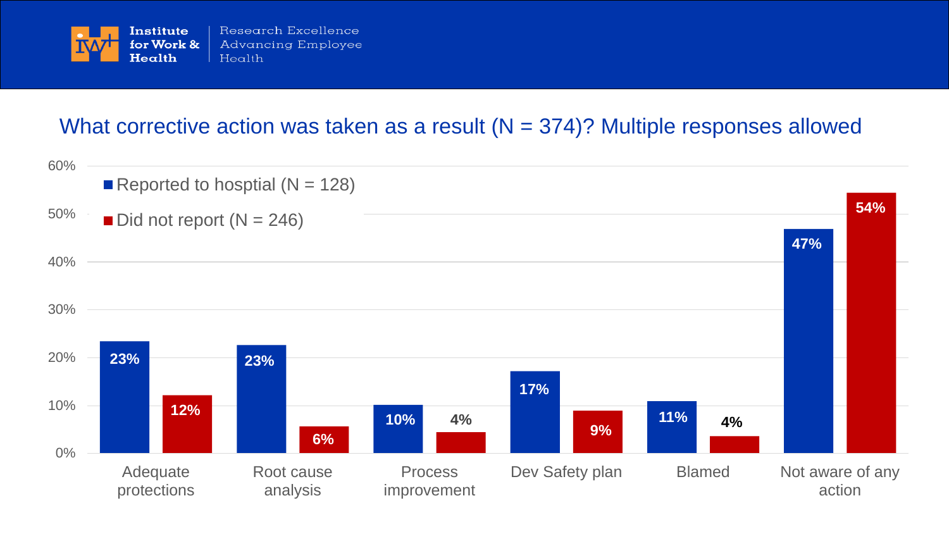

#### What corrective action was taken as a result  $(N = 374)$ ? Multiple responses allowed

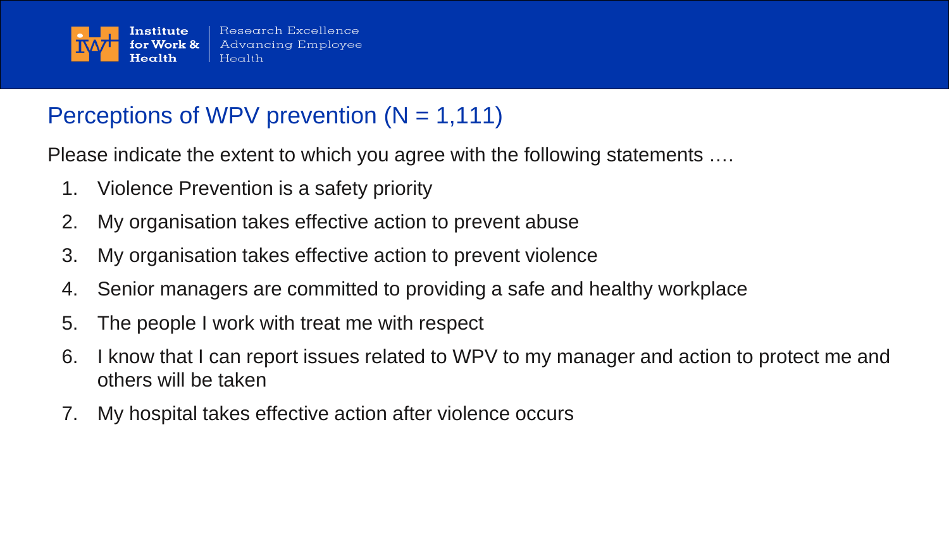

## Perceptions of WPV prevention  $(N = 1,111)$

Please indicate the extent to which you agree with the following statements ….

- 1. Violence Prevention is a safety priority
- 2. My organisation takes effective action to prevent abuse
- 3. My organisation takes effective action to prevent violence
- 4. Senior managers are committed to providing a safe and healthy workplace
- 5. The people I work with treat me with respect
- 6. I know that I can report issues related to WPV to my manager and action to protect me and others will be taken
- 7. My hospital takes effective action after violence occurs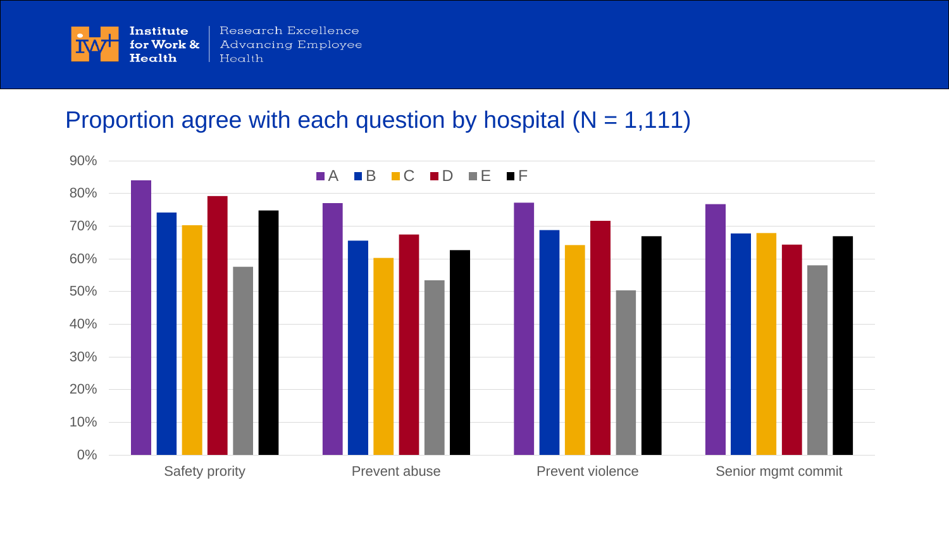

#### Proportion agree with each question by hospital  $(N = 1,111)$

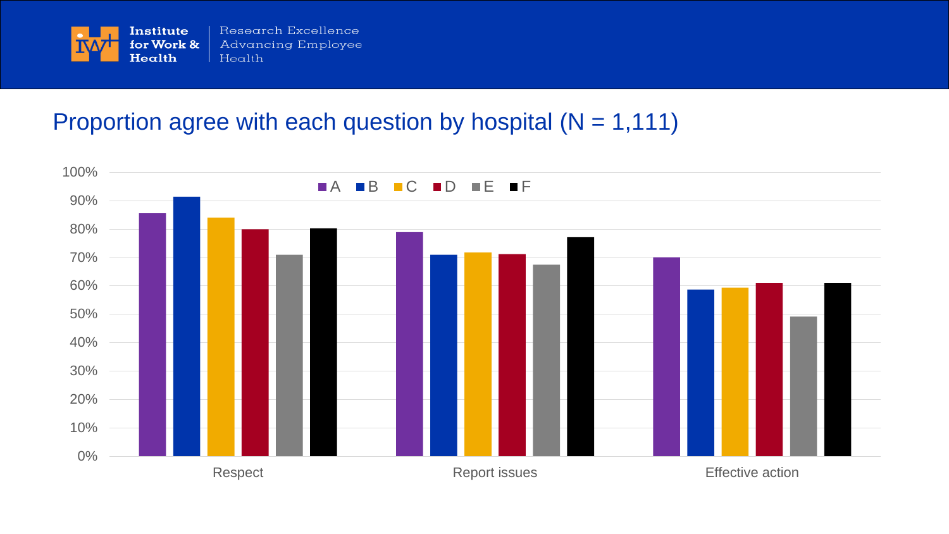

## Proportion agree with each question by hospital  $(N = 1,111)$

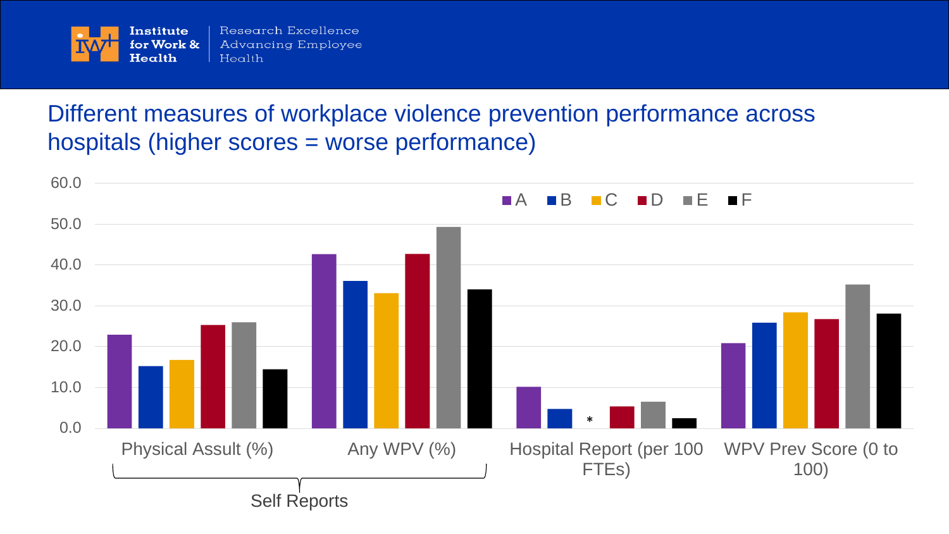

## Different measures of workplace violence prevention performance across hospitals (higher scores = worse performance)

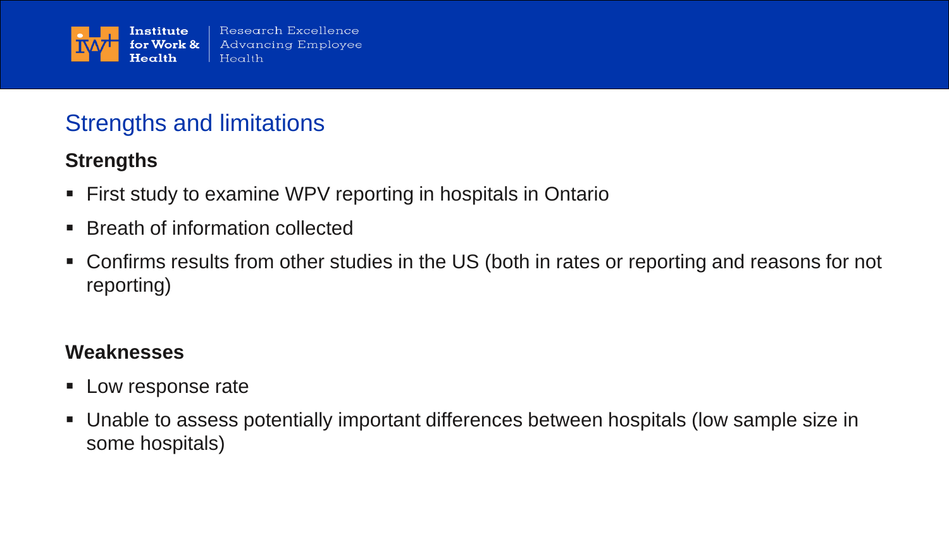

## Strengths and limitations

#### **Strengths**

- **First study to examine WPV reporting in hospitals in Ontario**
- Breath of information collected
- Confirms results from other studies in the US (both in rates or reporting and reasons for not reporting)

#### **Weaknesses**

- **Low response rate**
- Unable to assess potentially important differences between hospitals (low sample size in some hospitals)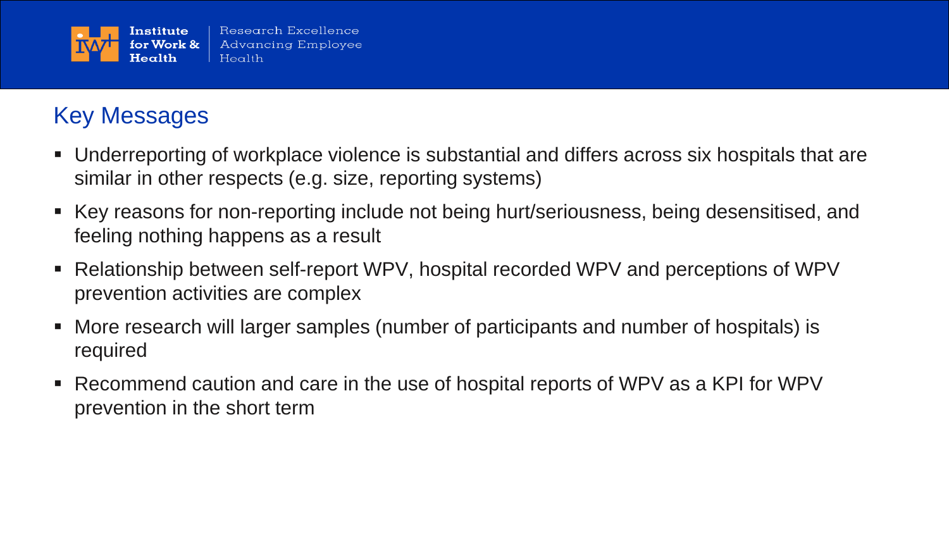

## Key Messages

- Underreporting of workplace violence is substantial and differs across six hospitals that are similar in other respects (e.g. size, reporting systems)
- Key reasons for non-reporting include not being hurt/seriousness, being desensitised, and feeling nothing happens as a result
- Relationship between self-report WPV, hospital recorded WPV and perceptions of WPV prevention activities are complex
- More research will larger samples (number of participants and number of hospitals) is required
- Recommend caution and care in the use of hospital reports of WPV as a KPI for WPV prevention in the short term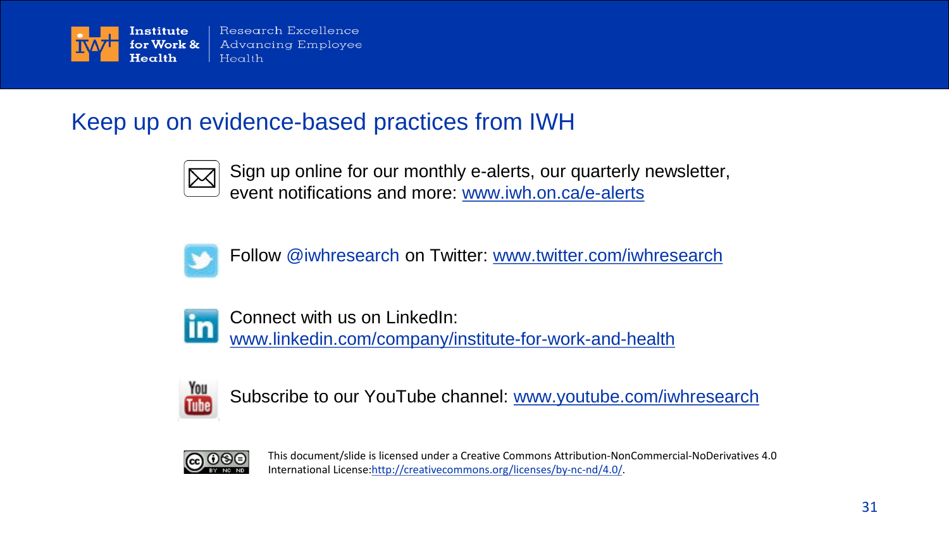

## Keep up on evidence-based practices from IWH



Sign up online for our monthly e-alerts, our quarterly newsletter, event notifications and more: [www.iwh.on.ca/e-alerts](http://www.iwh.on.ca/e-alerts)



Follow @iwhresearch on Twitter: [www.twitter.com/iwhresearch](http://www.twitter.com/iwhresearch)



Connect with us on LinkedIn: [www.linkedin.com/company/institute-for-work-and-health](http://www.linkedin.com/company/institute-for-work-and-health)



Subscribe to our YouTube channel: [www.youtube.com/iwhresearch](http://www.youtube.com/iwhresearch)



This document/slide is licensed under a Creative Commons Attribution-NonCommercial-NoDerivatives 4.0 International License:[http://creativecommons.org/licenses/by-nc-nd/4.0/.](http://creativecommons.org/licenses/by-nc-nd/4.0/)